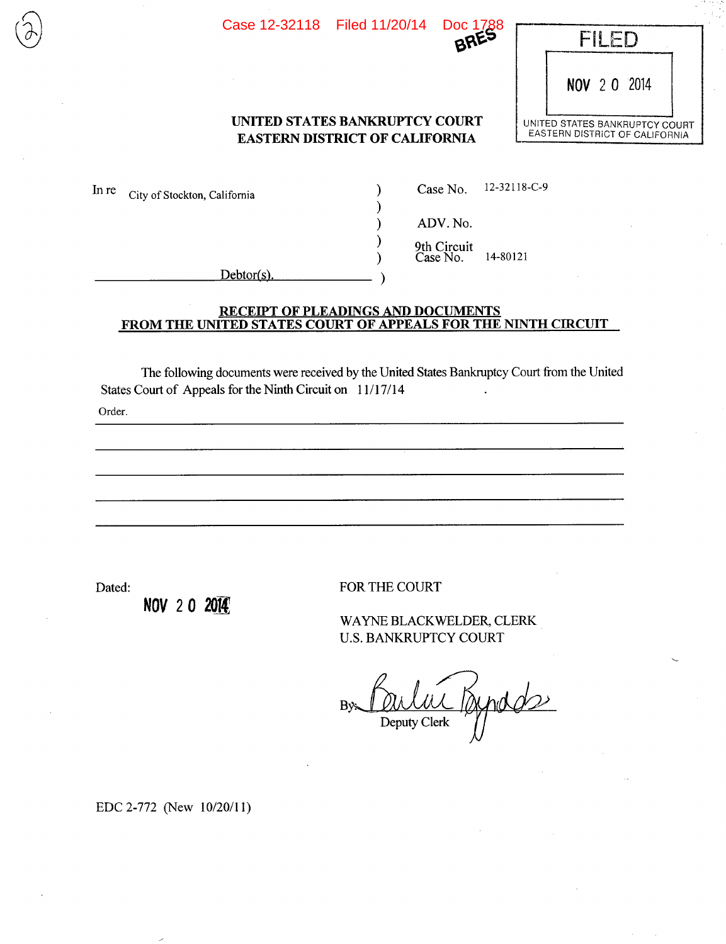Case 12-32118 Filed 11/20/14 Doc 1788



NOV 2 0 2014

### **UNITED STATES BANKRUPTCY COURT DISTRICT OF CALIFORNIA EASTERN DISTRICT OF CALIFORNIA**

)

 $\mathcal{E}$  $\mathcal{E}$ 

)

In re City of Stockton, California (a) Case No. 12-32118-C-9

ADV.No.

9th Circuit ) Case No. 14-80121

Debtor(s).

#### **RECEIPT OF PLEADINGS AND DOCUMENTS FROM** THE **UNITED STATES COURT OF APPEALS FOR THE NINTH CIRCUIT**

The following documents were received by the United States Bankruptcy Court from the United States Court of Appeals for the Ninth Circuit on 11/17/14

Order.

NOV 2 0 2014

Dated: FOR THE COURT

WAYNE BLACK WELDER CLERK U.S. BANKRUPTCY COURT

Br Poului Byrods Deputy Clerk

EDC 2-772 (New 10/20/11)